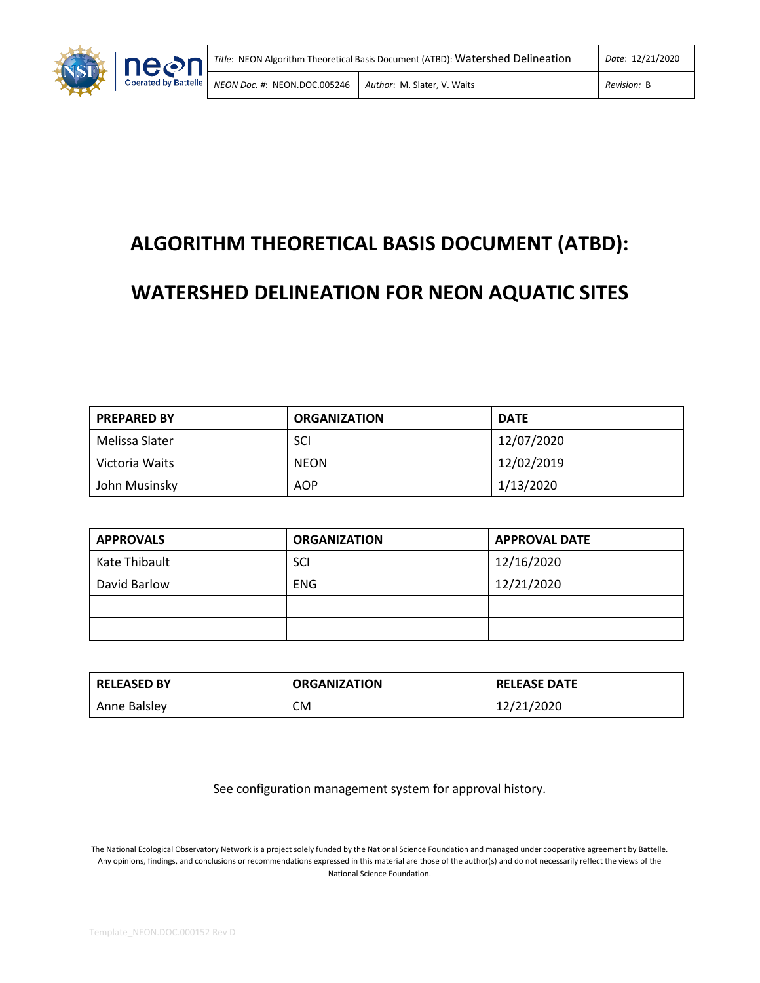

# **ALGORITHM THEORETICAL BASIS DOCUMENT (ATBD):**

# **WATERSHED DELINEATION FOR NEON AQUATIC SITES**

| <b>PREPARED BY</b> | <b>ORGANIZATION</b> | <b>DATE</b> |
|--------------------|---------------------|-------------|
| Melissa Slater     | SCI                 | 12/07/2020  |
| Victoria Waits     | <b>NEON</b>         | 12/02/2019  |
| John Musinsky      | <b>AOP</b>          | 1/13/2020   |

| <b>APPROVALS</b> | <b>ORGANIZATION</b> | <b>APPROVAL DATE</b> |
|------------------|---------------------|----------------------|
| Kate Thibault    | SCI                 | 12/16/2020           |
| David Barlow     | <b>ENG</b>          | 12/21/2020           |
|                  |                     |                      |
|                  |                     |                      |

| <b>RELEASED BY</b> | <b>ORGANIZATION</b> | <b>RELEASE DATE</b> |
|--------------------|---------------------|---------------------|
| Anne Balsley       | СM                  | 12/21/2020          |

See configuration management system for approval history.

The National Ecological Observatory Network is a project solely funded by the National Science Foundation and managed under cooperative agreement by Battelle. Any opinions, findings, and conclusions or recommendations expressed in this material are those of the author(s) and do not necessarily reflect the views of the National Science Foundation.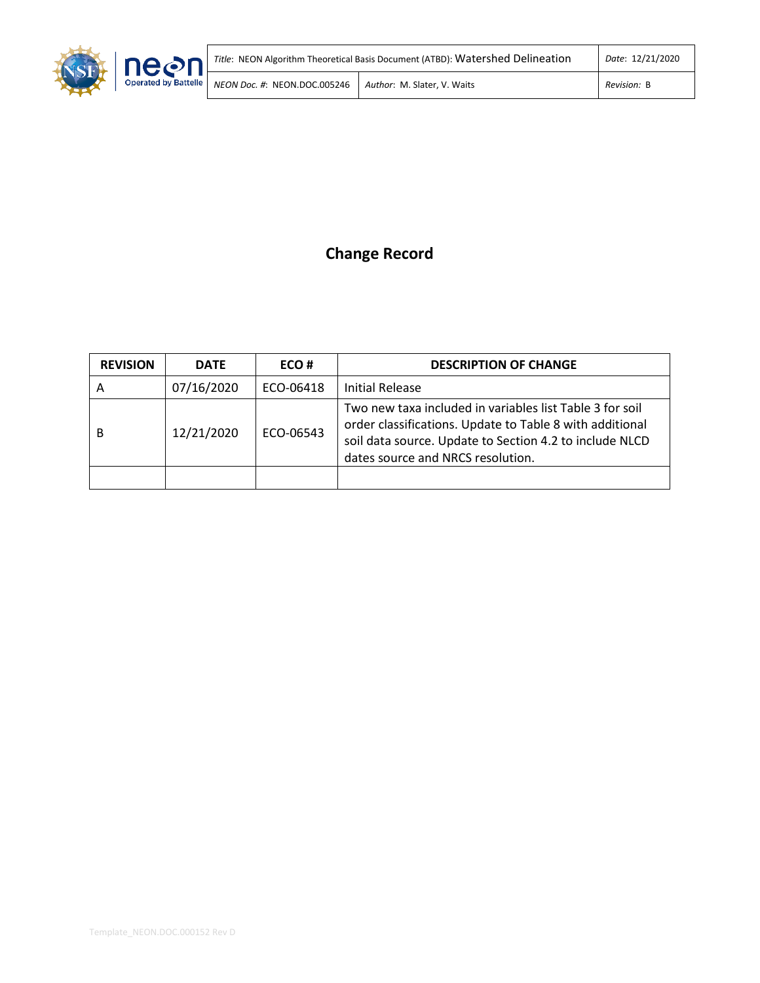

# **Change Record**

| <b>REVISION</b> | <b>DATE</b> | ECO#      | <b>DESCRIPTION OF CHANGE</b>                                                                                                                                                                                         |
|-----------------|-------------|-----------|----------------------------------------------------------------------------------------------------------------------------------------------------------------------------------------------------------------------|
| A               | 07/16/2020  | ECO-06418 | <b>Initial Release</b>                                                                                                                                                                                               |
| В               | 12/21/2020  | ECO-06543 | Two new taxa included in variables list Table 3 for soil<br>order classifications. Update to Table 8 with additional<br>soil data source. Update to Section 4.2 to include NLCD<br>dates source and NRCS resolution. |
|                 |             |           |                                                                                                                                                                                                                      |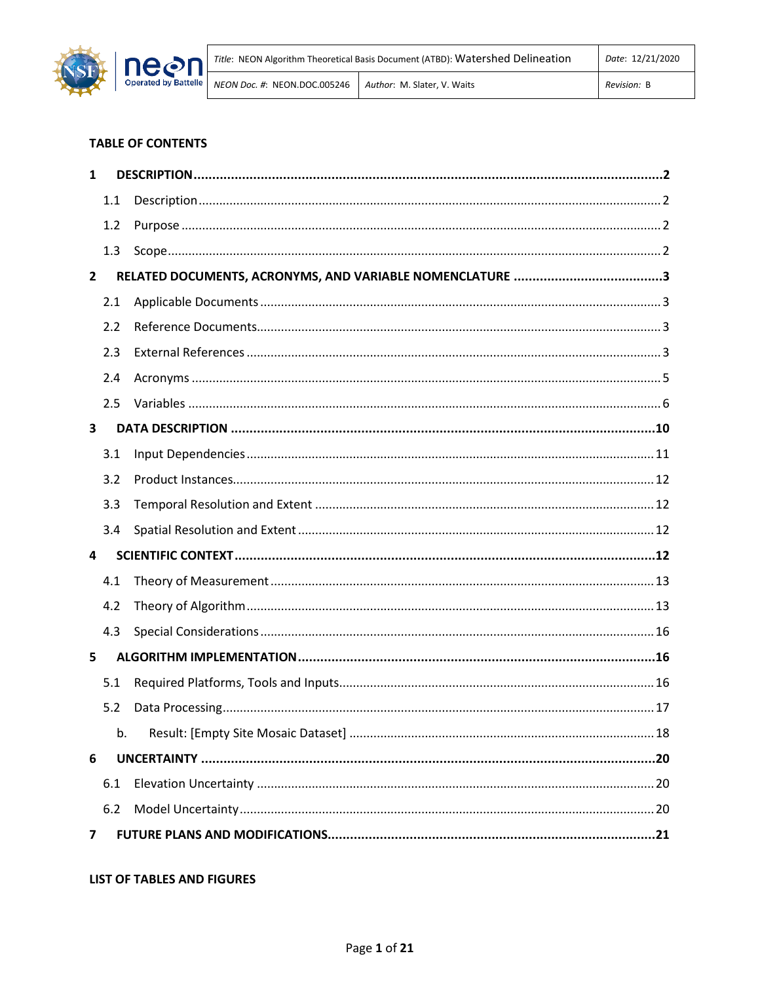

## **TABLE OF CONTENTS**

| 1            |     |  |
|--------------|-----|--|
|              | 1.1 |  |
|              | 1.2 |  |
|              | 1.3 |  |
| $\mathbf{2}$ |     |  |
|              | 2.1 |  |
|              | 2.2 |  |
|              | 2.3 |  |
|              | 2.4 |  |
|              | 2.5 |  |
| 3            |     |  |
|              | 3.1 |  |
|              | 3.2 |  |
|              | 3.3 |  |
|              | 3.4 |  |
| 4            |     |  |
|              | 4.1 |  |
|              | 4.2 |  |
|              | 4.3 |  |
| 5            |     |  |
|              | 5.1 |  |
|              | 5.2 |  |
|              | b.  |  |
| 6            |     |  |
|              | 6.1 |  |
|              | 6.2 |  |
| 7            |     |  |

## **LIST OF TABLES AND FIGURES**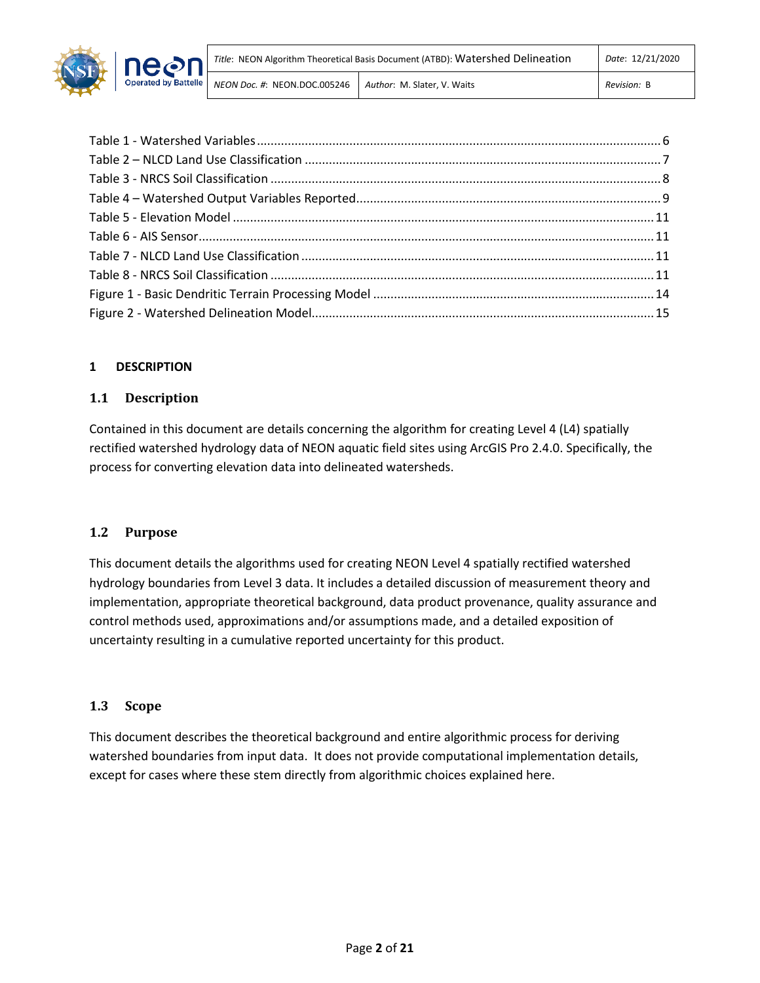

## <span id="page-3-0"></span>**1 DESCRIPTION**

## <span id="page-3-1"></span>**1.1 Description**

Contained in this document are details concerning the algorithm for creating Level 4 (L4) spatially rectified watershed hydrology data of NEON aquatic field sites using ArcGIS Pro 2.4.0. Specifically, the process for converting elevation data into delineated watersheds.

## <span id="page-3-2"></span>**1.2 Purpose**

This document details the algorithms used for creating NEON Level 4 spatially rectified watershed hydrology boundaries from Level 3 data. It includes a detailed discussion of measurement theory and implementation, appropriate theoretical background, data product provenance, quality assurance and control methods used, approximations and/or assumptions made, and a detailed exposition of uncertainty resulting in a cumulative reported uncertainty for this product.

## <span id="page-3-3"></span>**1.3 Scope**

This document describes the theoretical background and entire algorithmic process for deriving watershed boundaries from input data. It does not provide computational implementation details, except for cases where these stem directly from algorithmic choices explained here.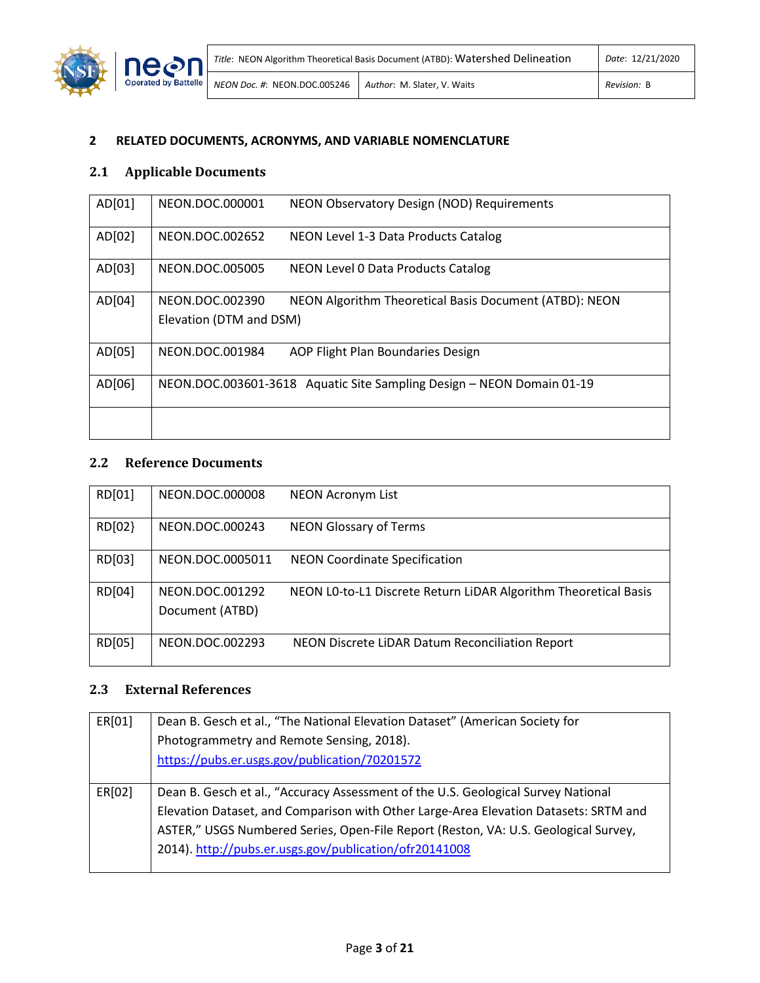

# <span id="page-4-0"></span>**2 RELATED DOCUMENTS, ACRONYMS, AND VARIABLE NOMENCLATURE**

# <span id="page-4-1"></span>**2.1 Applicable Documents**

| AD[01] | NEON.DOC.000001         | NEON Observatory Design (NOD) Requirements                            |
|--------|-------------------------|-----------------------------------------------------------------------|
| AD[02] | NEON.DOC.002652         | NEON Level 1-3 Data Products Catalog                                  |
| AD[03] | NEON.DOC.005005         | NEON Level 0 Data Products Catalog                                    |
| AD[04] | NEON.DOC.002390         | NEON Algorithm Theoretical Basis Document (ATBD): NEON                |
|        | Elevation (DTM and DSM) |                                                                       |
| AD[05] | NEON.DOC.001984         | AOP Flight Plan Boundaries Design                                     |
| AD[06] |                         | NEON.DOC.003601-3618 Aquatic Site Sampling Design - NEON Domain 01-19 |
|        |                         |                                                                       |

## <span id="page-4-2"></span>**2.2 Reference Documents**

| RD[01] | NEON.DOC.000008                    | <b>NEON Acronym List</b>                                        |
|--------|------------------------------------|-----------------------------------------------------------------|
| RD[02] | NEON.DOC.000243                    | <b>NEON Glossary of Terms</b>                                   |
| RD[03] | NEON.DOC.0005011                   | <b>NEON Coordinate Specification</b>                            |
| RD[04] | NEON.DOC.001292<br>Document (ATBD) | NEON LO-to-L1 Discrete Return LiDAR Algorithm Theoretical Basis |
| RD[05] | NEON.DOC.002293                    | NEON Discrete LiDAR Datum Reconciliation Report                 |

# <span id="page-4-3"></span>**2.3 External References**

| ER[01] | Dean B. Gesch et al., "The National Elevation Dataset" (American Society for         |
|--------|--------------------------------------------------------------------------------------|
|        | Photogrammetry and Remote Sensing, 2018).                                            |
|        | https://pubs.er.usgs.gov/publication/70201572                                        |
|        |                                                                                      |
| ER[02] | Dean B. Gesch et al., "Accuracy Assessment of the U.S. Geological Survey National    |
|        | Elevation Dataset, and Comparison with Other Large-Area Elevation Datasets: SRTM and |
|        | ASTER," USGS Numbered Series, Open-File Report (Reston, VA: U.S. Geological Survey,  |
|        | 2014). http://pubs.er.usgs.gov/publication/ofr20141008                               |
|        |                                                                                      |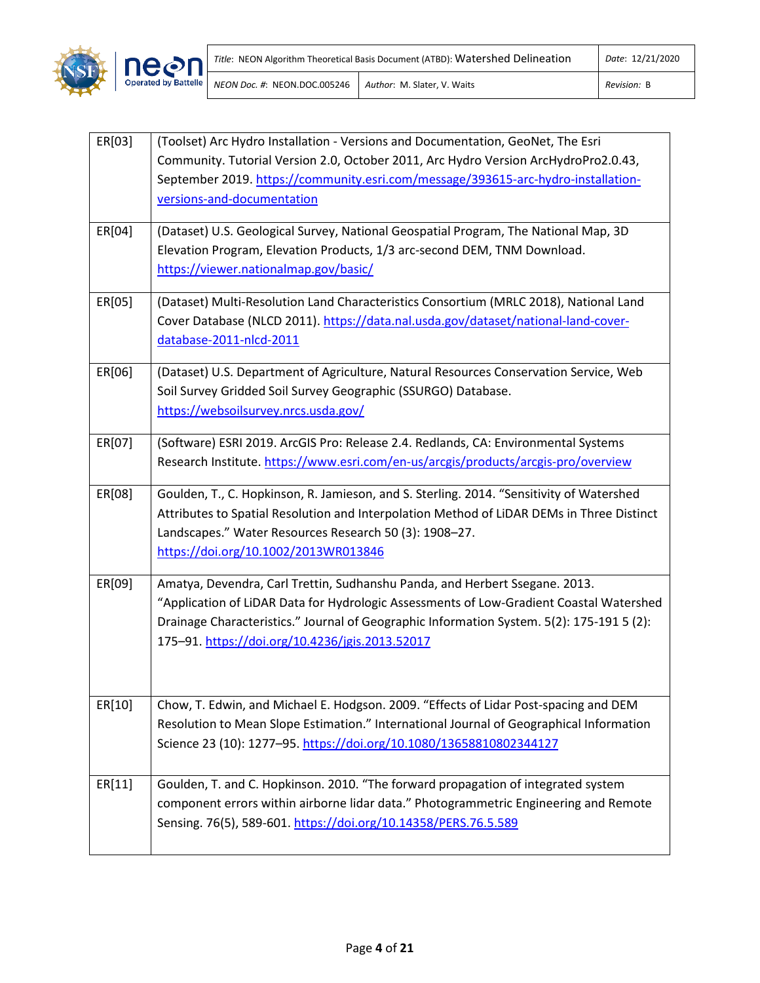

| ER[03] | (Toolset) Arc Hydro Installation - Versions and Documentation, GeoNet, The Esri<br>Community. Tutorial Version 2.0, October 2011, Arc Hydro Version ArcHydroPro2.0.43,<br>September 2019. https://community.esri.com/message/393615-arc-hydro-installation-<br>versions-and-documentation                              |
|--------|------------------------------------------------------------------------------------------------------------------------------------------------------------------------------------------------------------------------------------------------------------------------------------------------------------------------|
| ER[04] | (Dataset) U.S. Geological Survey, National Geospatial Program, The National Map, 3D<br>Elevation Program, Elevation Products, 1/3 arc-second DEM, TNM Download.<br>https://viewer.nationalmap.gov/basic/                                                                                                               |
| ER[05] | (Dataset) Multi-Resolution Land Characteristics Consortium (MRLC 2018), National Land<br>Cover Database (NLCD 2011). https://data.nal.usda.gov/dataset/national-land-cover-<br>database-2011-nlcd-2011                                                                                                                 |
| ER[06] | (Dataset) U.S. Department of Agriculture, Natural Resources Conservation Service, Web<br>Soil Survey Gridded Soil Survey Geographic (SSURGO) Database.<br>https://websoilsurvey.nrcs.usda.gov/                                                                                                                         |
| ER[07] | (Software) ESRI 2019. ArcGIS Pro: Release 2.4. Redlands, CA: Environmental Systems<br>Research Institute. https://www.esri.com/en-us/arcgis/products/arcgis-pro/overview                                                                                                                                               |
| ER[08] | Goulden, T., C. Hopkinson, R. Jamieson, and S. Sterling. 2014. "Sensitivity of Watershed<br>Attributes to Spatial Resolution and Interpolation Method of LiDAR DEMs in Three Distinct<br>Landscapes." Water Resources Research 50 (3): 1908-27.<br>https://doi.org/10.1002/2013WR013846                                |
| ER[09] | Amatya, Devendra, Carl Trettin, Sudhanshu Panda, and Herbert Ssegane. 2013.<br>"Application of LiDAR Data for Hydrologic Assessments of Low-Gradient Coastal Watershed<br>Drainage Characteristics." Journal of Geographic Information System. 5(2): 175-191 5 (2):<br>175-91. https://doi.org/10.4236/jgis.2013.52017 |
| ER[10] | Chow, T. Edwin, and Michael E. Hodgson. 2009. "Effects of Lidar Post-spacing and DEM<br>Resolution to Mean Slope Estimation." International Journal of Geographical Information<br>Science 23 (10): 1277-95. https://doi.org/10.1080/13658810802344127                                                                 |
| ER[11] | Goulden, T. and C. Hopkinson. 2010. "The forward propagation of integrated system<br>component errors within airborne lidar data." Photogrammetric Engineering and Remote<br>Sensing. 76(5), 589-601. https://doi.org/10.14358/PERS.76.5.589                                                                           |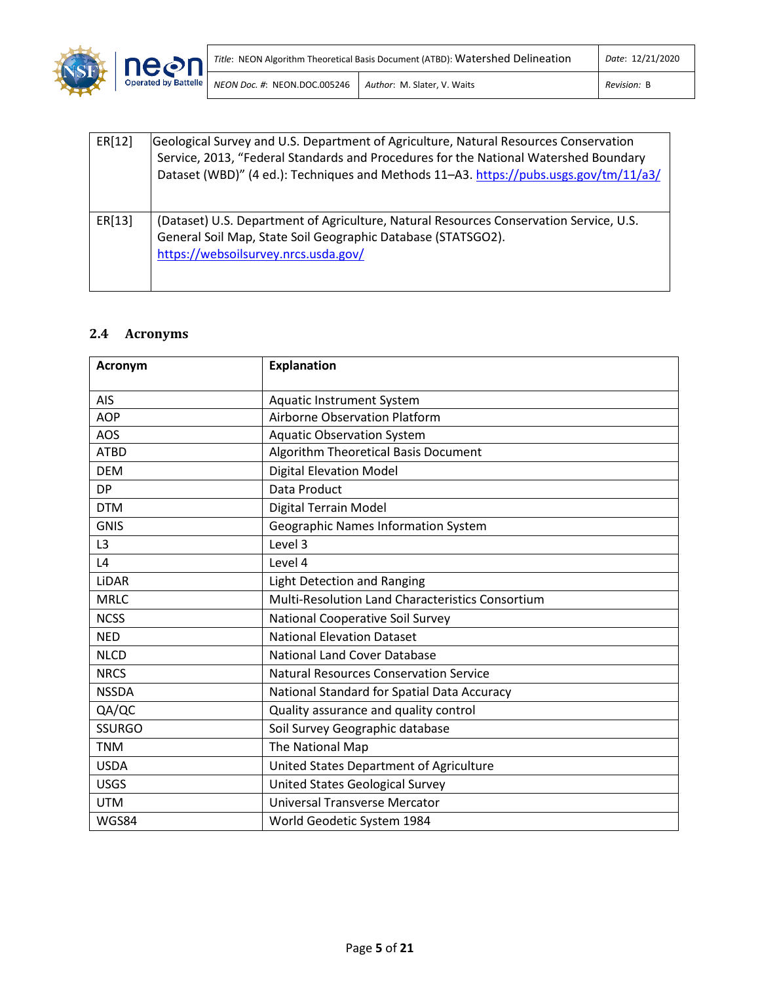

| ER[12] | Geological Survey and U.S. Department of Agriculture, Natural Resources Conservation<br>Service, 2013, "Federal Standards and Procedures for the National Watershed Boundary<br>Dataset (WBD)" (4 ed.): Techniques and Methods 11-A3. https://pubs.usgs.gov/tm/11/a3/ |
|--------|-----------------------------------------------------------------------------------------------------------------------------------------------------------------------------------------------------------------------------------------------------------------------|
| ER[13] | (Dataset) U.S. Department of Agriculture, Natural Resources Conservation Service, U.S.<br>General Soil Map, State Soil Geographic Database (STATSGO2).<br>https://websoilsurvey.nrcs.usda.gov/                                                                        |

# <span id="page-6-0"></span>**2.4 Acronyms**

| <b>Acronym</b> | <b>Explanation</b>                                      |
|----------------|---------------------------------------------------------|
| <b>AIS</b>     | <b>Aquatic Instrument System</b>                        |
| <b>AOP</b>     | <b>Airborne Observation Platform</b>                    |
| <b>AOS</b>     | <b>Aquatic Observation System</b>                       |
| <b>ATBD</b>    | Algorithm Theoretical Basis Document                    |
| <b>DEM</b>     | <b>Digital Elevation Model</b>                          |
| <b>DP</b>      | Data Product                                            |
| <b>DTM</b>     | Digital Terrain Model                                   |
| <b>GNIS</b>    | Geographic Names Information System                     |
| L <sub>3</sub> | Level 3                                                 |
| L4             | Level 4                                                 |
| LiDAR          | Light Detection and Ranging                             |
| <b>MRLC</b>    | <b>Multi-Resolution Land Characteristics Consortium</b> |
| <b>NCSS</b>    | National Cooperative Soil Survey                        |
| <b>NED</b>     | <b>National Elevation Dataset</b>                       |
| <b>NLCD</b>    | <b>National Land Cover Database</b>                     |
| <b>NRCS</b>    | <b>Natural Resources Conservation Service</b>           |
| <b>NSSDA</b>   | National Standard for Spatial Data Accuracy             |
| QA/QC          | Quality assurance and quality control                   |
| <b>SSURGO</b>  | Soil Survey Geographic database                         |
| <b>TNM</b>     | The National Map                                        |
| <b>USDA</b>    | United States Department of Agriculture                 |
| <b>USGS</b>    | <b>United States Geological Survey</b>                  |
| <b>UTM</b>     | <b>Universal Transverse Mercator</b>                    |
| WGS84          | World Geodetic System 1984                              |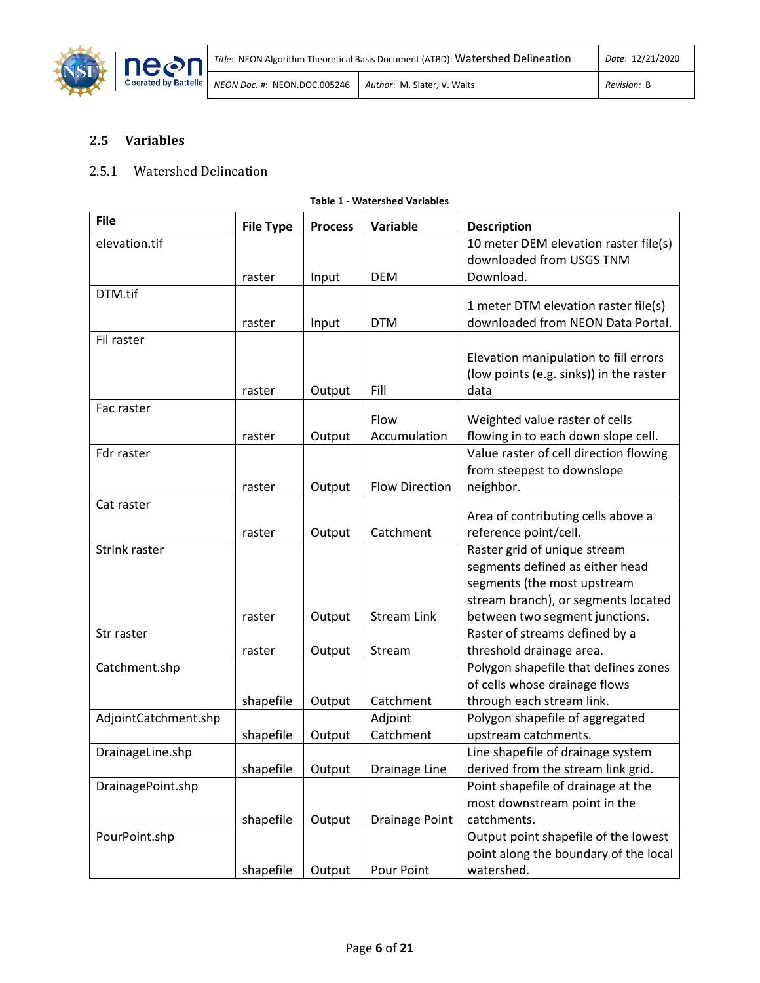

# <span id="page-7-0"></span>**2.5 Variables**

## 2.5.1 Watershed Delineation

<span id="page-7-1"></span>

| <b>File</b>          | <b>File Type</b> | <b>Process</b> | <b>Variable</b>       | <b>Description</b>                      |
|----------------------|------------------|----------------|-----------------------|-----------------------------------------|
| elevation.tif        |                  |                |                       | 10 meter DEM elevation raster file(s)   |
|                      |                  |                |                       | downloaded from USGS TNM                |
|                      | raster           | Input          | <b>DEM</b>            | Download.                               |
| DTM.tif              |                  |                |                       |                                         |
|                      |                  |                |                       | 1 meter DTM elevation raster file(s)    |
|                      | raster           | Input          | <b>DTM</b>            | downloaded from NEON Data Portal.       |
| Fil raster           |                  |                |                       |                                         |
|                      |                  |                |                       | Elevation manipulation to fill errors   |
|                      |                  |                |                       | (low points (e.g. sinks)) in the raster |
|                      | raster           | Output         | Fill                  | data                                    |
| Fac raster           |                  |                | Flow                  |                                         |
|                      |                  |                |                       | Weighted value raster of cells          |
|                      | raster           | Output         | Accumulation          | flowing in to each down slope cell.     |
| Fdr raster           |                  |                |                       | Value raster of cell direction flowing  |
|                      |                  |                |                       | from steepest to downslope              |
|                      | raster           | Output         | <b>Flow Direction</b> | neighbor.                               |
| Cat raster           |                  |                |                       | Area of contributing cells above a      |
|                      | raster           | Output         | Catchment             | reference point/cell.                   |
| Strlnk raster        |                  |                |                       | Raster grid of unique stream            |
|                      |                  |                |                       | segments defined as either head         |
|                      |                  |                |                       | segments (the most upstream             |
|                      |                  |                |                       | stream branch), or segments located     |
|                      | raster           | Output         | <b>Stream Link</b>    | between two segment junctions.          |
| Str raster           |                  |                |                       | Raster of streams defined by a          |
|                      | raster           | Output         | Stream                | threshold drainage area.                |
| Catchment.shp        |                  |                |                       | Polygon shapefile that defines zones    |
|                      |                  |                |                       | of cells whose drainage flows           |
|                      | shapefile        | Output         | Catchment             | through each stream link.               |
| AdjointCatchment.shp |                  |                | Adjoint               | Polygon shapefile of aggregated         |
|                      | shapefile        | Output         | Catchment             | upstream catchments.                    |
| DrainageLine.shp     |                  |                |                       | Line shapefile of drainage system       |
|                      | shapefile        | Output         | Drainage Line         | derived from the stream link grid.      |
| DrainagePoint.shp    |                  |                |                       | Point shapefile of drainage at the      |
|                      |                  |                |                       | most downstream point in the            |
|                      |                  |                |                       |                                         |
|                      | shapefile        | Output         | <b>Drainage Point</b> | catchments.                             |
| PourPoint.shp        |                  |                |                       | Output point shapefile of the lowest    |
|                      |                  |                |                       | point along the boundary of the local   |
|                      | shapefile        | Output         | Pour Point            | watershed.                              |

**Table 1 - Watershed Variables**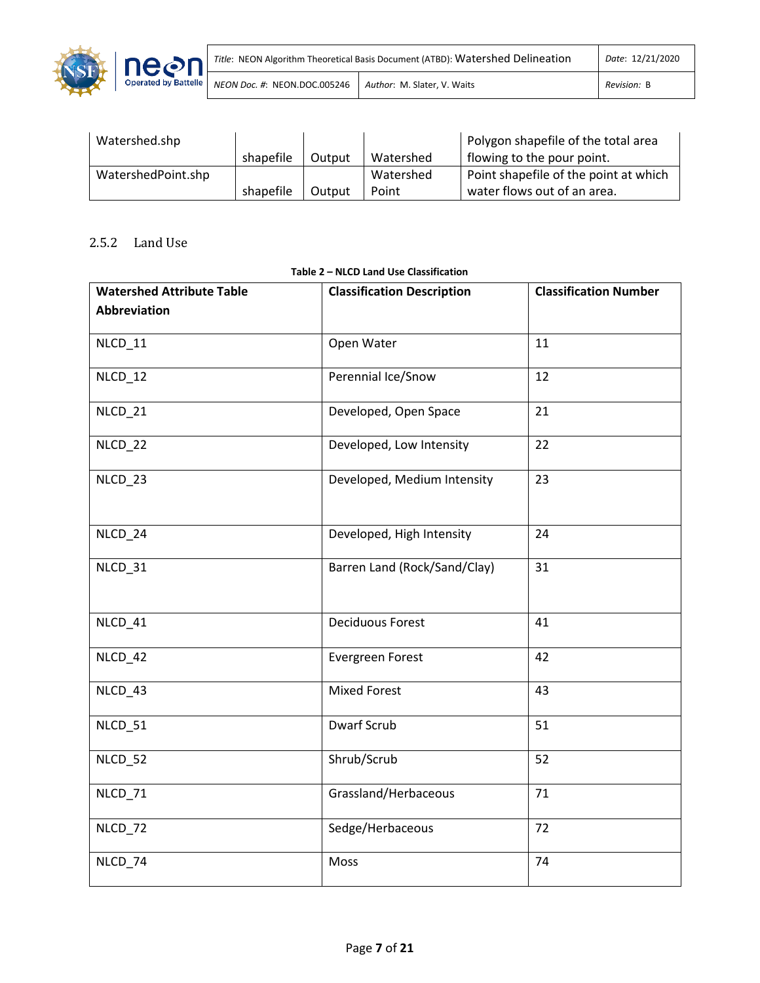

| Watershed.shp      |           |        |           | Polygon shapefile of the total area   |
|--------------------|-----------|--------|-----------|---------------------------------------|
|                    | shapefile | Output | Watershed | flowing to the pour point.            |
| WatershedPoint.shp |           |        | Watershed | Point shapefile of the point at which |
|                    | shapefile | Output | Point     | water flows out of an area.           |

# 2.5.2 Land Use

<span id="page-8-0"></span>

| <b>Watershed Attribute Table</b> | <b>Classification Description</b> | <b>Classification Number</b> |
|----------------------------------|-----------------------------------|------------------------------|
| Abbreviation                     |                                   |                              |
| NLCD_11                          | Open Water                        | 11                           |
| NLCD_12                          | Perennial Ice/Snow                | 12                           |
| NLCD_21                          | Developed, Open Space             | 21                           |
| NLCD_22                          | Developed, Low Intensity          | 22                           |
| NLCD_23                          | Developed, Medium Intensity       | 23                           |
| NLCD_24                          | Developed, High Intensity         | 24                           |
| NLCD_31                          | Barren Land (Rock/Sand/Clay)      | 31                           |
| NLCD_41                          | <b>Deciduous Forest</b>           | 41                           |
| NLCD_42                          | Evergreen Forest                  | 42                           |
| NLCD_43                          | <b>Mixed Forest</b>               | 43                           |
| NLCD_51                          | <b>Dwarf Scrub</b>                | 51                           |
| NLCD_52                          | Shrub/Scrub                       | 52                           |
| NLCD_71                          | Grassland/Herbaceous              | 71                           |
| NLCD_72                          | Sedge/Herbaceous                  | 72                           |
| NLCD_74                          | Moss                              | 74                           |

## **Table 2 – NLCD Land Use Classification**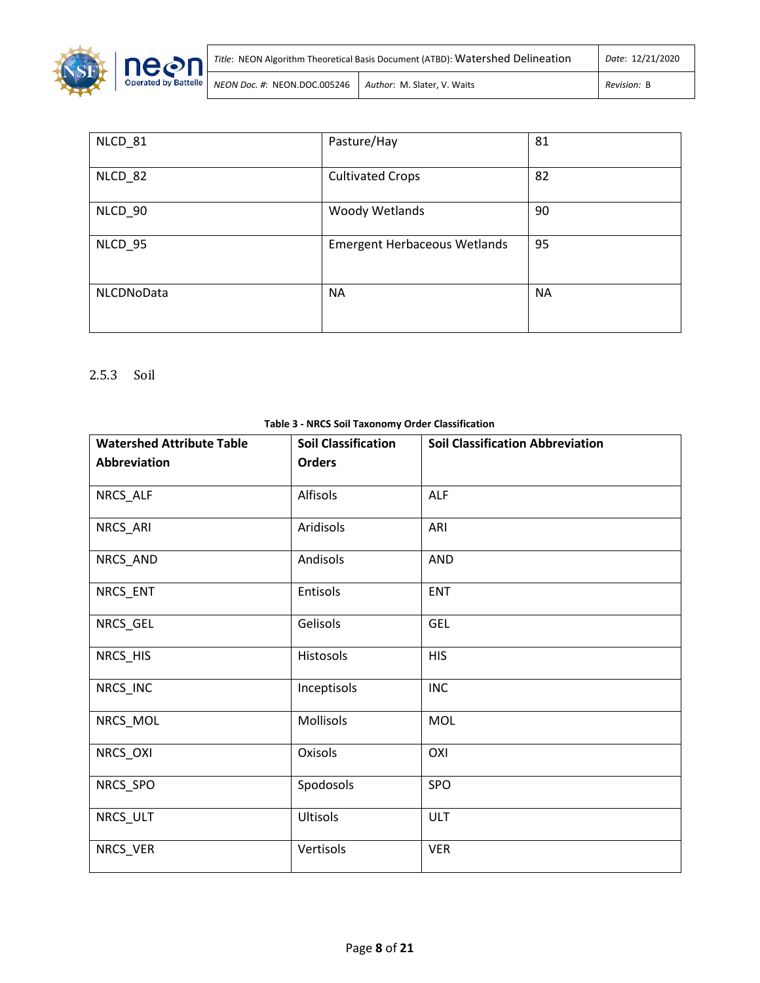

| Title: NEON Algorithm Theoretical Basis Document (ATBD): Watershed Delineation | Date: 12/21/2020            |             |
|--------------------------------------------------------------------------------|-----------------------------|-------------|
| NEON Doc. #: NEON.DOC.005246                                                   | Author: M. Slater. V. Waits | Revision: B |

| NLCD_81    | Pasture/Hay                         | 81        |
|------------|-------------------------------------|-----------|
| NLCD_82    | <b>Cultivated Crops</b>             | 82        |
| NLCD_90    | <b>Woody Wetlands</b>               | 90        |
| NLCD 95    | <b>Emergent Herbaceous Wetlands</b> | 95        |
| NLCDNoData | <b>NA</b>                           | <b>NA</b> |

# 2.5.3 Soil

<span id="page-9-0"></span>

| <b>Watershed Attribute Table</b> | Table 5 Three Son Taxonomy Oracl Classification<br><b>Soil Classification</b> | <b>Soil Classification Abbreviation</b> |
|----------------------------------|-------------------------------------------------------------------------------|-----------------------------------------|
|                                  |                                                                               |                                         |
| <b>Abbreviation</b>              | <b>Orders</b>                                                                 |                                         |
|                                  |                                                                               |                                         |
| NRCS_ALF                         | Alfisols                                                                      | <b>ALF</b>                              |
|                                  |                                                                               |                                         |
| NRCS_ARI                         | Aridisols                                                                     | ARI                                     |
|                                  |                                                                               |                                         |
| NRCS_AND                         | Andisols                                                                      | <b>AND</b>                              |
|                                  |                                                                               |                                         |
| NRCS_ENT                         | Entisols                                                                      | <b>ENT</b>                              |
|                                  |                                                                               |                                         |
| NRCS_GEL                         | Gelisols                                                                      | <b>GEL</b>                              |
|                                  |                                                                               |                                         |
| NRCS_HIS                         | Histosols                                                                     | <b>HIS</b>                              |
|                                  |                                                                               |                                         |
| NRCS_INC                         | Inceptisols                                                                   | <b>INC</b>                              |
|                                  |                                                                               |                                         |
| NRCS_MOL                         | Mollisols                                                                     | MOL                                     |
|                                  |                                                                               |                                         |
| NRCS_OXI                         | Oxisols                                                                       | OXI                                     |
|                                  |                                                                               |                                         |
| NRCS_SPO                         | Spodosols                                                                     | SPO                                     |
|                                  |                                                                               |                                         |
| NRCS_ULT                         | Ultisols                                                                      | <b>ULT</b>                              |
|                                  |                                                                               |                                         |
| NRCS_VER                         | Vertisols                                                                     | <b>VER</b>                              |
|                                  |                                                                               |                                         |

#### **Table 3 - NRCS Soil Taxonomy Order Classification**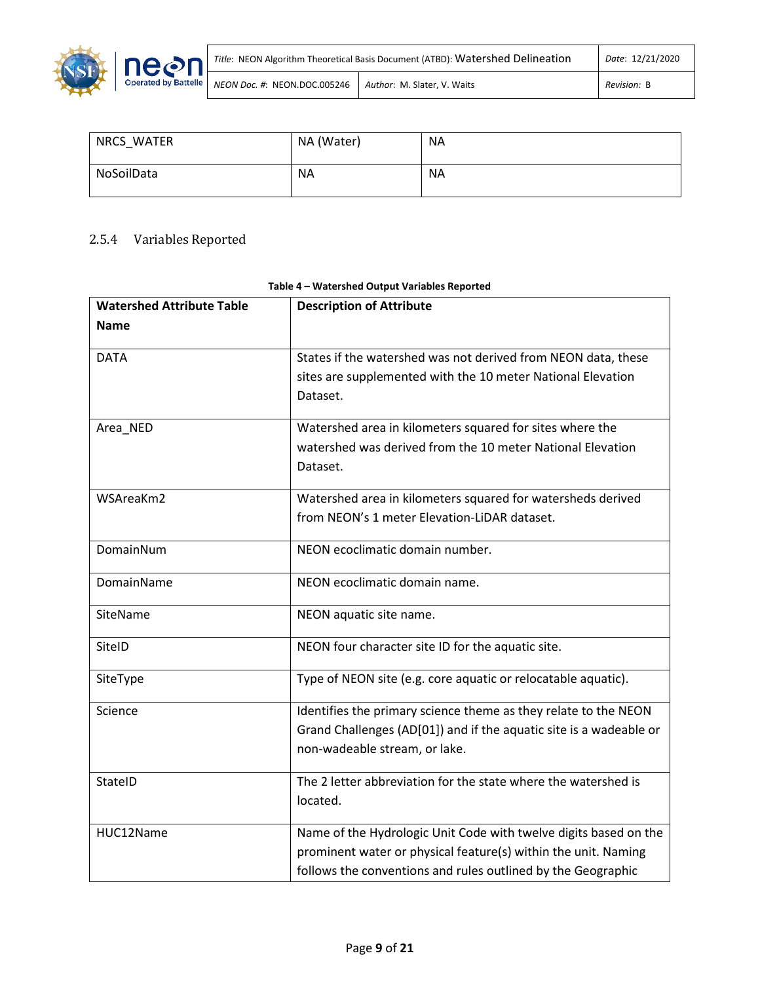

| NRCS WATER | NA (Water) | <b>NA</b> |
|------------|------------|-----------|
| NoSoilData | NA.        | <b>NA</b> |

# 2.5.4 Variables Reported

<span id="page-10-0"></span>

| <b>Watershed Attribute Table</b> | <b>Description of Attribute</b>                                                                                                                                                                    |
|----------------------------------|----------------------------------------------------------------------------------------------------------------------------------------------------------------------------------------------------|
| <b>Name</b>                      |                                                                                                                                                                                                    |
| <b>DATA</b>                      | States if the watershed was not derived from NEON data, these<br>sites are supplemented with the 10 meter National Elevation<br>Dataset.                                                           |
| Area_NED                         | Watershed area in kilometers squared for sites where the<br>watershed was derived from the 10 meter National Elevation<br>Dataset.                                                                 |
| WSAreaKm2                        | Watershed area in kilometers squared for watersheds derived<br>from NEON's 1 meter Elevation-LiDAR dataset.                                                                                        |
| DomainNum                        | NEON ecoclimatic domain number.                                                                                                                                                                    |
| DomainName                       | NEON ecoclimatic domain name.                                                                                                                                                                      |
| SiteName                         | NEON aquatic site name.                                                                                                                                                                            |
| SitelD                           | NEON four character site ID for the aquatic site.                                                                                                                                                  |
| SiteType                         | Type of NEON site (e.g. core aquatic or relocatable aquatic).                                                                                                                                      |
| Science                          | Identifies the primary science theme as they relate to the NEON<br>Grand Challenges (AD[01]) and if the aquatic site is a wadeable or<br>non-wadeable stream, or lake.                             |
| StateID                          | The 2 letter abbreviation for the state where the watershed is<br>located.                                                                                                                         |
| HUC12Name                        | Name of the Hydrologic Unit Code with twelve digits based on the<br>prominent water or physical feature(s) within the unit. Naming<br>follows the conventions and rules outlined by the Geographic |

### **Table 4 – Watershed Output Variables Reported**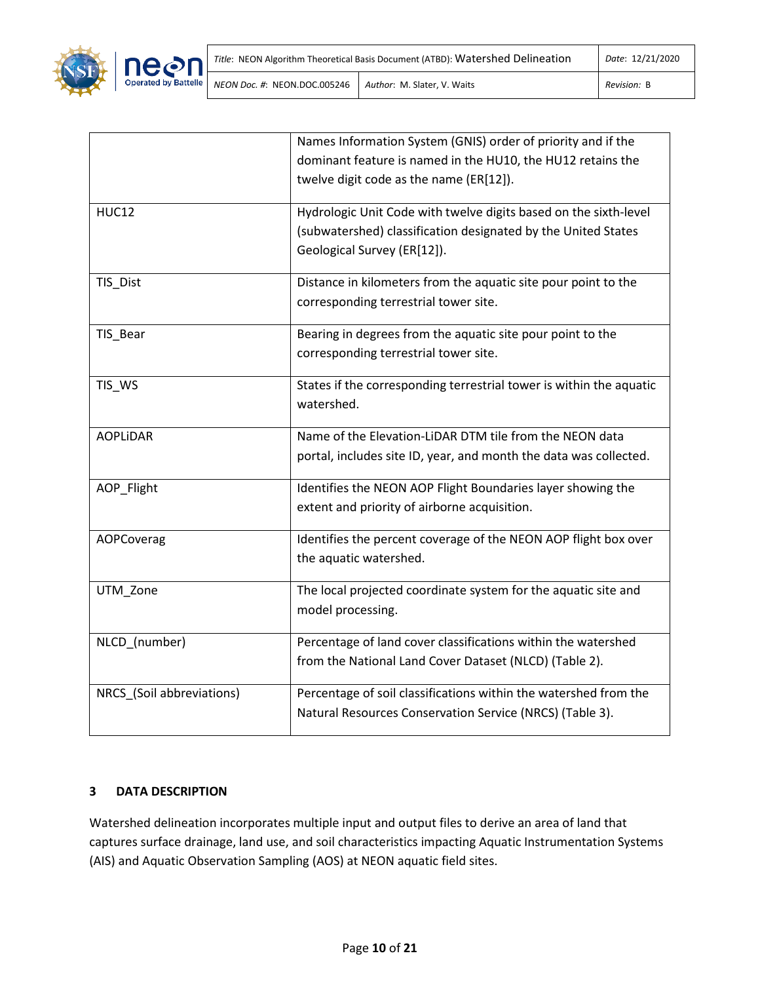



|                           | Names Information System (GNIS) order of priority and if the        |
|---------------------------|---------------------------------------------------------------------|
|                           | dominant feature is named in the HU10, the HU12 retains the         |
|                           | twelve digit code as the name (ER[12]).                             |
| <b>HUC12</b>              | Hydrologic Unit Code with twelve digits based on the sixth-level    |
|                           | (subwatershed) classification designated by the United States       |
|                           | Geological Survey (ER[12]).                                         |
| TIS_Dist                  | Distance in kilometers from the aquatic site pour point to the      |
|                           | corresponding terrestrial tower site.                               |
| TIS_Bear                  | Bearing in degrees from the aquatic site pour point to the          |
|                           | corresponding terrestrial tower site.                               |
| TIS_WS                    | States if the corresponding terrestrial tower is within the aquatic |
|                           | watershed.                                                          |
| <b>AOPLIDAR</b>           | Name of the Elevation-LiDAR DTM tile from the NEON data             |
|                           | portal, includes site ID, year, and month the data was collected.   |
| AOP_Flight                | Identifies the NEON AOP Flight Boundaries layer showing the         |
|                           | extent and priority of airborne acquisition.                        |
| AOPCoverag                | Identifies the percent coverage of the NEON AOP flight box over     |
|                           | the aquatic watershed.                                              |
| UTM_Zone                  | The local projected coordinate system for the aquatic site and      |
|                           | model processing.                                                   |
| NLCD_(number)             | Percentage of land cover classifications within the watershed       |
|                           | from the National Land Cover Dataset (NLCD) (Table 2).              |
| NRCS_(Soil abbreviations) | Percentage of soil classifications within the watershed from the    |
|                           | Natural Resources Conservation Service (NRCS) (Table 3).            |
|                           |                                                                     |

## <span id="page-11-0"></span>**3 DATA DESCRIPTION**

Watershed delineation incorporates multiple input and output files to derive an area of land that captures surface drainage, land use, and soil characteristics impacting Aquatic Instrumentation Systems (AIS) and Aquatic Observation Sampling (AOS) at NEON aquatic field sites.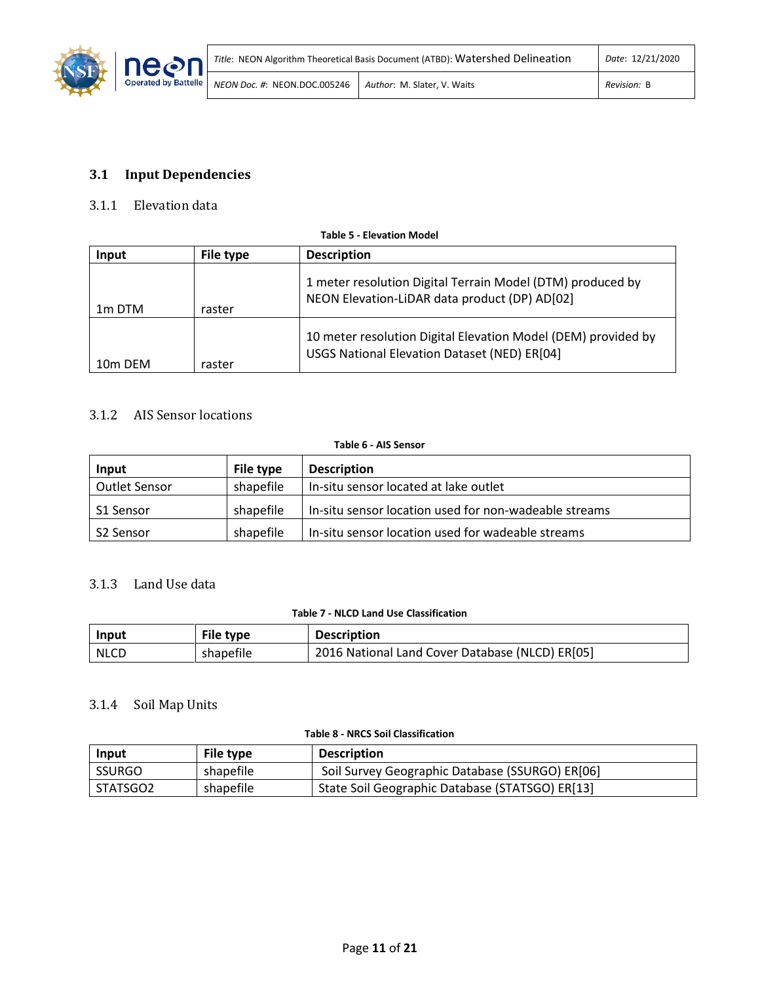

# <span id="page-12-0"></span>**3.1 Input Dependencies**

## 3.1.1 Elevation data

<span id="page-12-1"></span>

| <b>Table 5 - Elevation Model</b> |                  |                                                                                                               |  |
|----------------------------------|------------------|---------------------------------------------------------------------------------------------------------------|--|
| Input                            | <b>File type</b> | <b>Description</b>                                                                                            |  |
| 1 <sub>m</sub> DTM               | raster           | 1 meter resolution Digital Terrain Model (DTM) produced by<br>NEON Elevation-LiDAR data product (DP) AD[02]   |  |
| 10 <sub>m</sub> DEM              | raster           | 10 meter resolution Digital Elevation Model (DEM) provided by<br>USGS National Elevation Dataset (NED) ER[04] |  |

## 3.1.2 AIS Sensor locations

#### **Table 6 - AIS Sensor**

<span id="page-12-2"></span>

| Input         | File type | <b>Description</b>                                    |
|---------------|-----------|-------------------------------------------------------|
| Outlet Sensor | shapefile | In-situ sensor located at lake outlet                 |
| S1 Sensor     | shapefile | In-situ sensor location used for non-wadeable streams |
| S2 Sensor     | shapefile | In-situ sensor location used for wadeable streams     |

## 3.1.3 Land Use data

### **Table 7 - NLCD Land Use Classification**

<span id="page-12-3"></span>

| Input       | File type | <b>Description</b>                              |
|-------------|-----------|-------------------------------------------------|
| <b>NLCD</b> | shapefile | 2016 National Land Cover Database (NLCD) ER[05] |

## 3.1.4 Soil Map Units

#### **Table 8 - NRCS Soil Classification**

<span id="page-12-4"></span>

| Input    | File type | <b>Description</b>                              |
|----------|-----------|-------------------------------------------------|
| SSURGO   | shapefile | Soil Survey Geographic Database (SSURGO) ER[06] |
| STATSGO2 | shapefile | State Soil Geographic Database (STATSGO) ER[13] |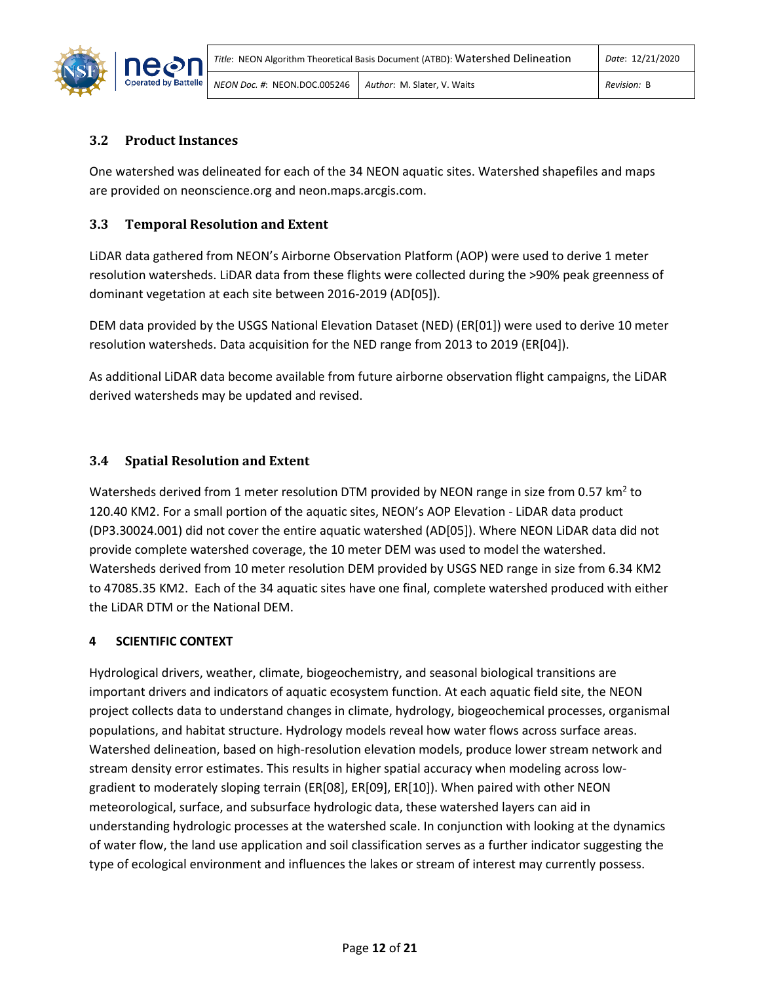

# <span id="page-13-0"></span>**3.2 Product Instances**

One watershed was delineated for each of the 34 NEON aquatic sites. Watershed shapefiles and maps are provided on neonscience.org and neon.maps.arcgis.com.

## <span id="page-13-1"></span>**3.3 Temporal Resolution and Extent**

LiDAR data gathered from NEON's Airborne Observation Platform (AOP) were used to derive 1 meter resolution watersheds. LiDAR data from these flights were collected during the >90% peak greenness of dominant vegetation at each site between 2016-2019 (AD[05]).

DEM data provided by the USGS National Elevation Dataset (NED) (ER[01]) were used to derive 10 meter resolution watersheds. Data acquisition for the NED range from 2013 to 2019 (ER[04]).

As additional LiDAR data become available from future airborne observation flight campaigns, the LiDAR derived watersheds may be updated and revised.

# <span id="page-13-2"></span>**3.4 Spatial Resolution and Extent**

Watersheds derived from 1 meter resolution DTM provided by NEON range in size from 0.57 km<sup>2</sup> to 120.40 KM2. For a small portion of the aquatic sites, NEON's AOP Elevation - LiDAR data product (DP3.30024.001) did not cover the entire aquatic watershed (AD[05]). Where NEON LiDAR data did not provide complete watershed coverage, the 10 meter DEM was used to model the watershed. Watersheds derived from 10 meter resolution DEM provided by USGS NED range in size from 6.34 KM2 to 47085.35 KM2. Each of the 34 aquatic sites have one final, complete watershed produced with either the LiDAR DTM or the National DEM.

## <span id="page-13-3"></span>**4 SCIENTIFIC CONTEXT**

Hydrological drivers, weather, climate, biogeochemistry, and seasonal biological transitions are important drivers and indicators of aquatic ecosystem function. At each aquatic field site, the NEON project collects data to understand changes in climate, hydrology, biogeochemical processes, organismal populations, and habitat structure. Hydrology models reveal how water flows across surface areas. Watershed delineation, based on high-resolution elevation models, produce lower stream network and stream density error estimates. This results in higher spatial accuracy when modeling across lowgradient to moderately sloping terrain (ER[08], ER[09], ER[10]). When paired with other NEON meteorological, surface, and subsurface hydrologic data, these watershed layers can aid in understanding hydrologic processes at the watershed scale. In conjunction with looking at the dynamics of water flow, the land use application and soil classification serves as a further indicator suggesting the type of ecological environment and influences the lakes or stream of interest may currently possess.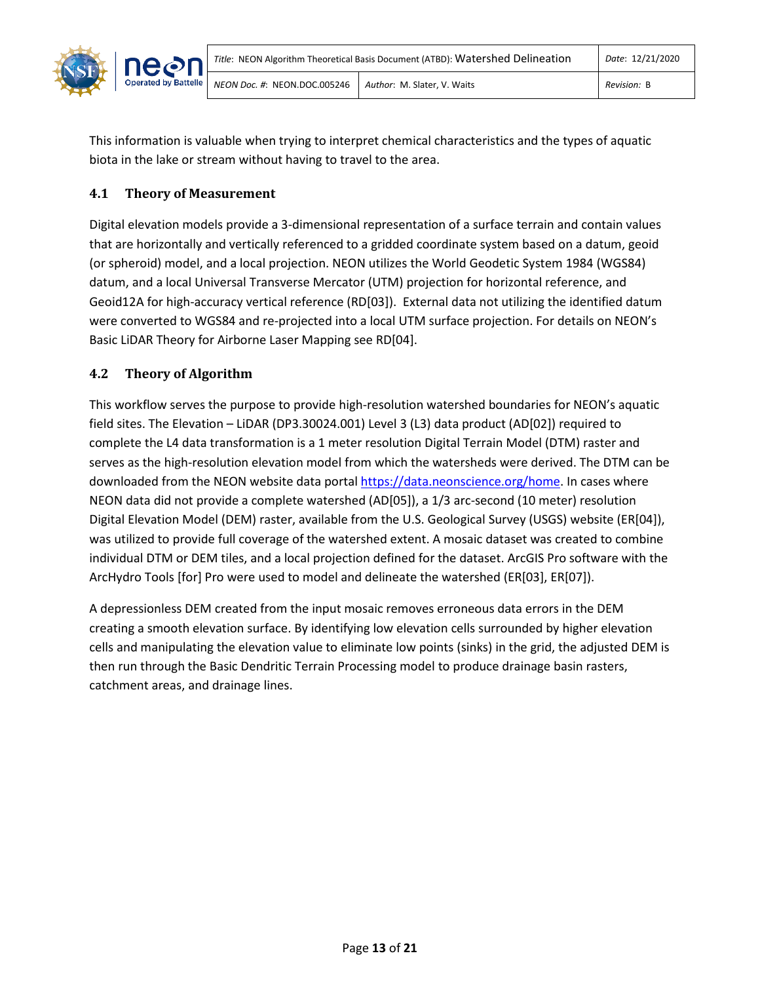

This information is valuable when trying to interpret chemical characteristics and the types of aquatic biota in the lake or stream without having to travel to the area.

# <span id="page-14-0"></span>**4.1 Theory of Measurement**

Digital elevation models provide a 3-dimensional representation of a surface terrain and contain values that are horizontally and vertically referenced to a gridded coordinate system based on a datum, geoid (or spheroid) model, and a local projection. NEON utilizes the World Geodetic System 1984 (WGS84) datum, and a local Universal Transverse Mercator (UTM) projection for horizontal reference, and Geoid12A for high-accuracy vertical reference (RD[03]). External data not utilizing the identified datum were converted to WGS84 and re-projected into a local UTM surface projection. For details on NEON's Basic LiDAR Theory for Airborne Laser Mapping see RD[04].

# <span id="page-14-1"></span>**4.2 Theory of Algorithm**

This workflow serves the purpose to provide high-resolution watershed boundaries for NEON's aquatic field sites. The Elevation – LiDAR (DP3.30024.001) Level 3 (L3) data product (AD[02]) required to complete the L4 data transformation is a 1 meter resolution Digital Terrain Model (DTM) raster and serves as the high-resolution elevation model from which the watersheds were derived. The DTM can be downloaded from the NEON website data portal [https://data.neonscience.org/home.](https://data.neonscience.org/home) In cases where NEON data did not provide a complete watershed (AD[05]), a 1/3 arc-second (10 meter) resolution Digital Elevation Model (DEM) raster, available from the U.S. Geological Survey (USGS) website (ER[04]), was utilized to provide full coverage of the watershed extent. A mosaic dataset was created to combine individual DTM or DEM tiles, and a local projection defined for the dataset. ArcGIS Pro software with the ArcHydro Tools [for] Pro were used to model and delineate the watershed (ER[03], ER[07]).

A depressionless DEM created from the input mosaic removes erroneous data errors in the DEM creating a smooth elevation surface. By identifying low elevation cells surrounded by higher elevation cells and manipulating the elevation value to eliminate low points (sinks) in the grid, the adjusted DEM is then run through the Basic Dendritic Terrain Processing model to produce drainage basin rasters, catchment areas, and drainage lines.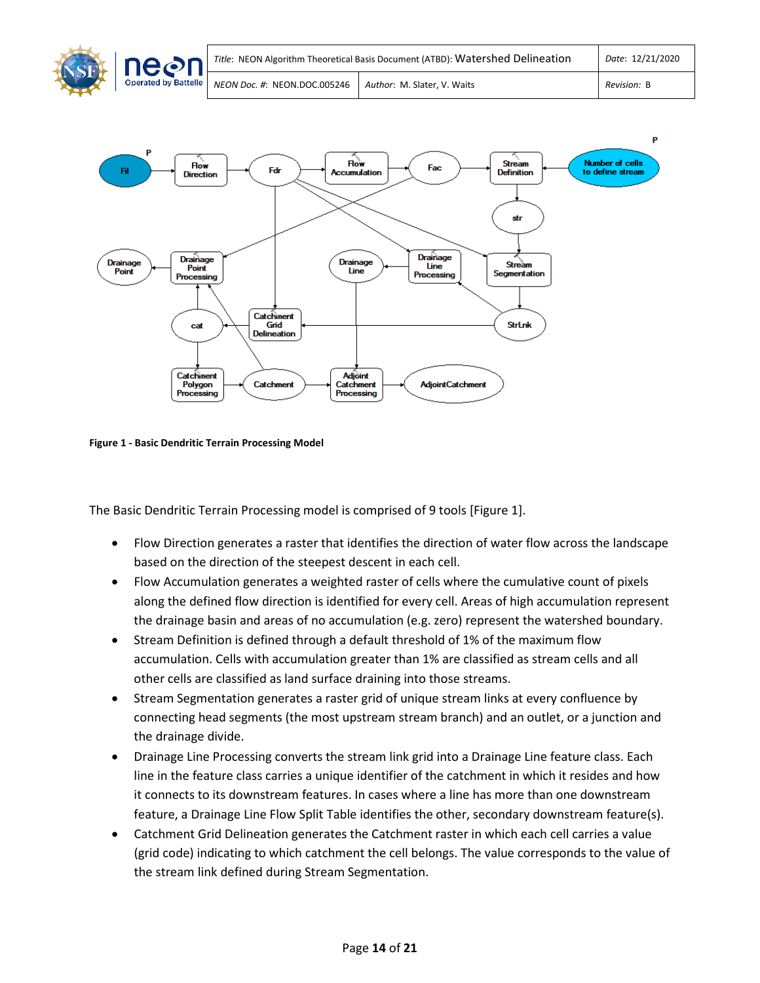



<span id="page-15-0"></span>**Figure 1 - Basic Dendritic Terrain Processing Model**

The Basic Dendritic Terrain Processing model is comprised of 9 tools [Figure 1].

- Flow Direction generates a raster that identifies the direction of water flow across the landscape based on the direction of the steepest descent in each cell.
- Flow Accumulation generates a weighted raster of cells where the cumulative count of pixels along the defined flow direction is identified for every cell. Areas of high accumulation represent the drainage basin and areas of no accumulation (e.g. zero) represent the watershed boundary.
- Stream Definition is defined through a default threshold of 1% of the maximum flow accumulation. Cells with accumulation greater than 1% are classified as stream cells and all other cells are classified as land surface draining into those streams.
- Stream Segmentation generates a raster grid of unique stream links at every confluence by connecting head segments (the most upstream stream branch) and an outlet, or a junction and the drainage divide.
- Drainage Line Processing converts the stream link grid into a Drainage Line feature class. Each line in the feature class carries a unique identifier of the catchment in which it resides and how it connects to its downstream features. In cases where a line has more than one downstream feature, a Drainage Line Flow Split Table identifies the other, secondary downstream feature(s).
- Catchment Grid Delineation generates the Catchment raster in which each cell carries a value (grid code) indicating to which catchment the cell belongs. The value corresponds to the value of the stream link defined during Stream Segmentation.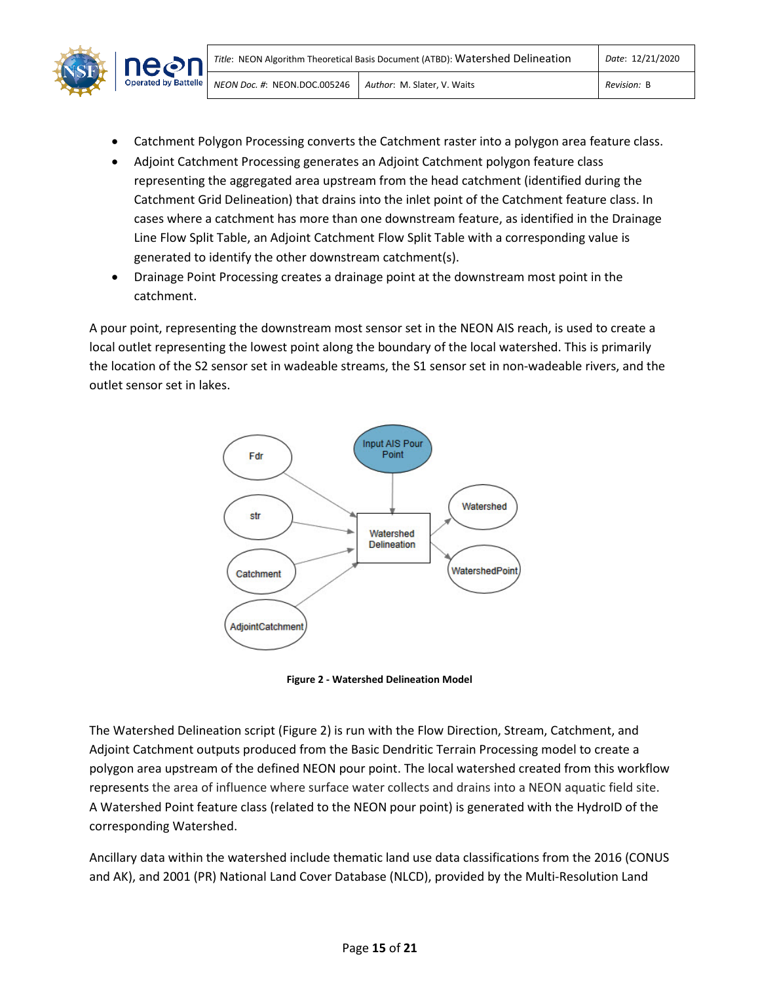

- Catchment Polygon Processing converts the Catchment raster into a polygon area feature class.
- Adjoint Catchment Processing generates an Adjoint Catchment polygon feature class representing the aggregated area upstream from the head catchment (identified during the Catchment Grid Delineation) that drains into the inlet point of the Catchment feature class. In cases where a catchment has more than one downstream feature, as identified in the Drainage Line Flow Split Table, an Adjoint Catchment Flow Split Table with a corresponding value is generated to identify the other downstream catchment(s).
- Drainage Point Processing creates a drainage point at the downstream most point in the catchment.

A pour point, representing the downstream most sensor set in the NEON AIS reach, is used to create a local outlet representing the lowest point along the boundary of the local watershed. This is primarily the location of the S2 sensor set in wadeable streams, the S1 sensor set in non-wadeable rivers, and the outlet sensor set in lakes.



**Figure 2 - Watershed Delineation Model**

<span id="page-16-0"></span>The Watershed Delineation script (Figure 2) is run with the Flow Direction, Stream, Catchment, and Adjoint Catchment outputs produced from the Basic Dendritic Terrain Processing model to create a polygon area upstream of the defined NEON pour point. The local watershed created from this workflow represents the area of influence where surface water collects and drains into a NEON aquatic field site. A Watershed Point feature class (related to the NEON pour point) is generated with the HydroID of the corresponding Watershed.

Ancillary data within the watershed include thematic land use data classifications from the 2016 (CONUS and AK), and 2001 (PR) National Land Cover Database (NLCD), provided by the Multi-Resolution Land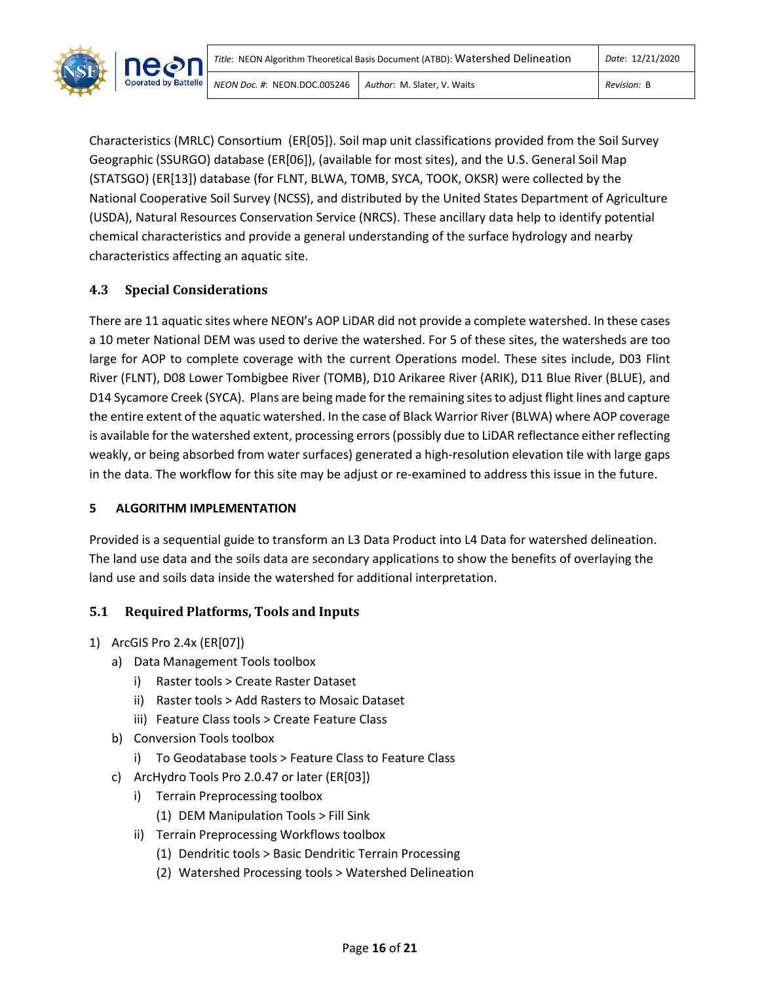

Characteristics (MRLC) Consortium (ER[05]). Soil map unit classifications provided from the Soil Survey Geographic (SSURGO) database (ER[06]), (available for most sites), and the U.S. General Soil Map (STATSGO) (ER[13]) database (for FLNT, BLWA, TOMB, SYCA, TOOK, OKSR) were collected by the National Cooperative Soil Survey (NCSS), and distributed by the United States Department of Agriculture (USDA), Natural Resources Conservation Service (NRCS). These ancillary data help to identify potential chemical characteristics and provide a general understanding of the surface hydrology and nearby characteristics affecting an aquatic site.

# <span id="page-17-0"></span>**4.3 Special Considerations**

There are 11 aquatic sites where NEON's AOP LiDAR did not provide a complete watershed. In these cases a 10 meter National DEM was used to derive the watershed. For 5 of these sites, the watersheds are too large for AOP to complete coverage with the current Operations model. These sites include, D03 Flint River (FLNT), D08 Lower Tombigbee River (TOMB), D10 Arikaree River (ARIK), D11 Blue River (BLUE), and D14 Sycamore Creek (SYCA). Plans are being made for the remaining sites to adjust flight lines and capture the entire extent of the aquatic watershed. In the case of Black Warrior River (BLWA) where AOP coverage is available for the watershed extent, processing errors(possibly due to LiDAR reflectance either reflecting weakly, or being absorbed from water surfaces) generated a high-resolution elevation tile with large gaps in the data. The workflow for this site may be adjust or re-examined to address this issue in the future.

## <span id="page-17-1"></span>**5 ALGORITHM IMPLEMENTATION**

Provided is a sequential guide to transform an L3 Data Product into L4 Data for watershed delineation. The land use data and the soils data are secondary applications to show the benefits of overlaying the land use and soils data inside the watershed for additional interpretation.

## <span id="page-17-2"></span>**5.1 Required Platforms, Tools and Inputs**

## 1) ArcGIS Pro 2.4x (ER[07])

- a) Data Management Tools toolbox
	- i) Raster tools > Create Raster Dataset
	- ii) Raster tools > Add Rasters to Mosaic Dataset
	- iii) Feature Class tools > Create Feature Class
- b) Conversion Tools toolbox
	- i) To Geodatabase tools > Feature Class to Feature Class
- c) ArcHydro Tools Pro 2.0.47 or later (ER[03])
	- i) Terrain Preprocessing toolbox
		- (1) DEM Manipulation Tools > Fill Sink
	- ii) Terrain Preprocessing Workflows toolbox
		- (1) Dendritic tools > Basic Dendritic Terrain Processing
		- (2) Watershed Processing tools > Watershed Delineation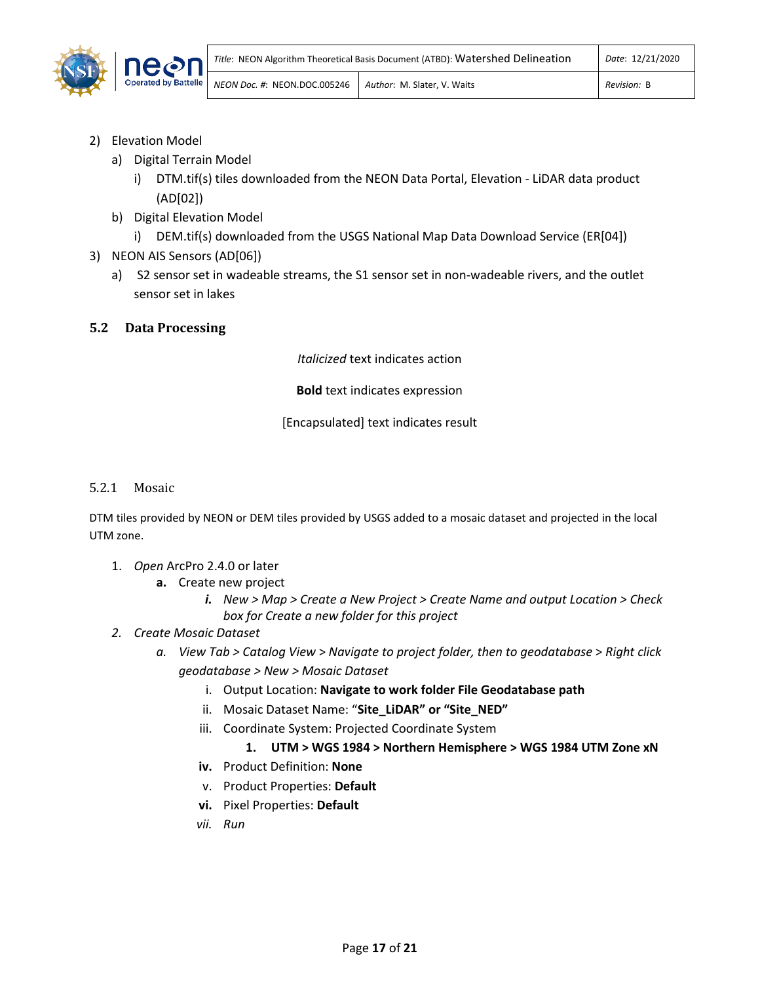

- 2) Elevation Model
	- a) Digital Terrain Model
		- i) DTM.tif(s) tiles downloaded from the NEON Data Portal, Elevation LiDAR data product (AD[02])
	- b) Digital Elevation Model
		- i) DEM.tif(s) downloaded from the USGS National Map Data Download Service (ER[04])
- 3) NEON AIS Sensors (AD[06])
	- a) S2 sensor set in wadeable streams, the S1 sensor set in non-wadeable rivers, and the outlet sensor set in lakes
- <span id="page-18-0"></span>**5.2 Data Processing**

*Italicized* text indicates action

**Bold** text indicates expression

[Encapsulated] text indicates result

5.2.1 Mosaic

DTM tiles provided by NEON or DEM tiles provided by USGS added to a mosaic dataset and projected in the local UTM zone.

- 1. *Open* ArcPro 2.4.0 or later
	- **a.** Create new project
		- *i. New > Map > Create a New Project > Create Name and output Location > Check box for Create a new folder for this project*
- *2. Create Mosaic Dataset*
	- *a. View Tab > Catalog View* > *Navigate to project folder, then to geodatabase* > *Right click geodatabase > New > Mosaic Dataset* 
		- i. Output Location: **Navigate to work folder File Geodatabase path**
		- ii. Mosaic Dataset Name: "**Site\_LiDAR" or "Site\_NED"**
		- iii. Coordinate System: Projected Coordinate System

## **1. UTM > WGS 1984 > Northern Hemisphere > WGS 1984 UTM Zone xN**

- **iv.** Product Definition: **None**
- v. Product Properties: **Default**
- **vi.** Pixel Properties: **Default**
- *vii. Run*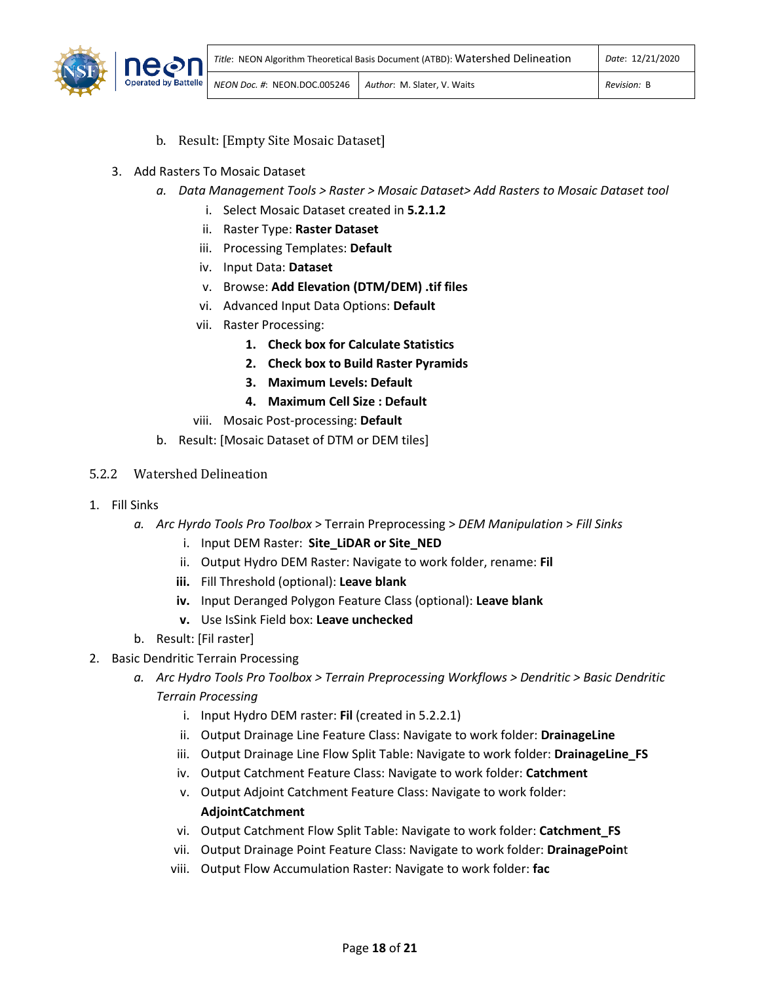

- b. Result: [Empty Site Mosaic Dataset]
- <span id="page-19-0"></span>3. Add Rasters To Mosaic Dataset
	- *a. Data Management Tools > Raster > Mosaic Dataset> Add Rasters to Mosaic Dataset tool*
		- i. Select Mosaic Dataset created in **5.2.1.2**
		- ii. Raster Type: **Raster Dataset**
		- iii. Processing Templates: **Default**
		- iv. Input Data: **Dataset**
		- v. Browse: **Add Elevation (DTM/DEM) .tif files**
		- vi. Advanced Input Data Options: **Default**
		- vii. Raster Processing:
			- **1. Check box for Calculate Statistics**
			- **2. Check box to Build Raster Pyramids**
			- **3. Maximum Levels: Default**
			- **4. Maximum Cell Size : Default**
		- viii. Mosaic Post-processing: **Default**
	- b. Result: [Mosaic Dataset of DTM or DEM tiles]
- 5.2.2 Watershed Delineation
- 1. Fill Sinks
	- *a. Arc Hyrdo Tools Pro Toolbox* > Terrain Preprocessing > *DEM Manipulation* > *Fill Sinks*
		- i. Input DEM Raster: **Site\_LiDAR or Site\_NED**
		- ii. Output Hydro DEM Raster: Navigate to work folder, rename: **Fil**
		- **iii.** Fill Threshold (optional): **Leave blank**
		- **iv.** Input Deranged Polygon Feature Class (optional): **Leave blank**
		- **v.** Use IsSink Field box: **Leave unchecked**
	- b. Result: [Fil raster]
- 2. Basic Dendritic Terrain Processing
	- *a. Arc Hydro Tools Pro Toolbox > Terrain Preprocessing Workflows > Dendritic > Basic Dendritic Terrain Processing*
		- i. Input Hydro DEM raster: **Fil** (created in 5.2.2.1)
		- ii. Output Drainage Line Feature Class: Navigate to work folder: **DrainageLine**
		- iii. Output Drainage Line Flow Split Table: Navigate to work folder: **DrainageLine\_FS**
		- iv. Output Catchment Feature Class: Navigate to work folder: **Catchment**
		- v. Output Adjoint Catchment Feature Class: Navigate to work folder: **AdjointCatchment**
		- vi. Output Catchment Flow Split Table: Navigate to work folder: **Catchment\_FS**
		- vii. Output Drainage Point Feature Class: Navigate to work folder: **DrainagePoin**t
		- viii. Output Flow Accumulation Raster: Navigate to work folder: **fac**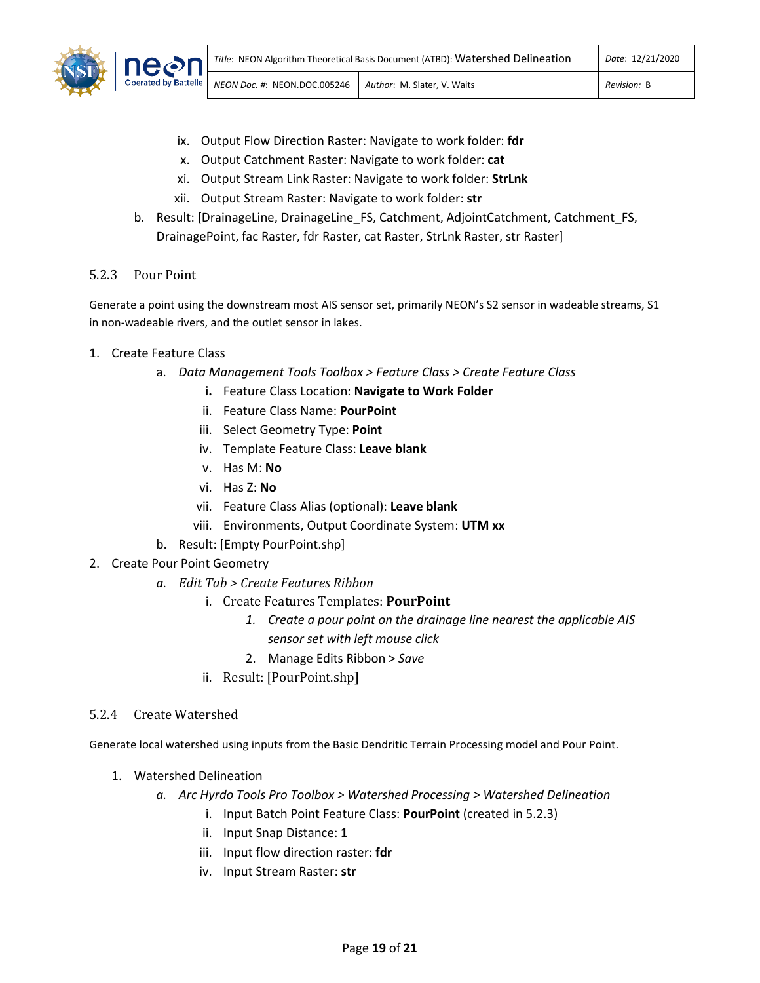

- ix. Output Flow Direction Raster: Navigate to work folder: **fdr**
- x. Output Catchment Raster: Navigate to work folder: **cat**
- xi. Output Stream Link Raster: Navigate to work folder: **StrLnk**
- xii. Output Stream Raster: Navigate to work folder: **str**
- b. Result: [DrainageLine, DrainageLine FS, Catchment, AdjointCatchment, Catchment FS, DrainagePoint, fac Raster, fdr Raster, cat Raster, StrLnk Raster, str Raster]

## 5.2.3 Pour Point

Generate a point using the downstream most AIS sensor set, primarily NEON's S2 sensor in wadeable streams, S1 in non-wadeable rivers, and the outlet sensor in lakes.

- 1. Create Feature Class
	- a. *Data Management Tools Toolbox > Feature Class > Create Feature Class*
		- **i.** Feature Class Location: **Navigate to Work Folder**
		- ii. Feature Class Name: **PourPoint**
		- iii. Select Geometry Type: **Point**
		- iv. Template Feature Class: **Leave blank**
		- v. Has M: **No**
		- vi. Has Z: **No**
		- vii. Feature Class Alias (optional): **Leave blank**
		- viii. Environments, Output Coordinate System: **UTM xx**
	- b. Result: [Empty PourPoint.shp]
- 2. Create Pour Point Geometry
	- *a. Edit Tab > Create Features Ribbon*
		- i. Create Features Templates: **PourPoint**
			- *1. Create a pour point on the drainage line nearest the applicable AIS sensor set with left mouse click*
			- 2. Manage Edits Ribbon > *Save*
		- ii. Result: [PourPoint.shp]

#### 5.2.4 Create Watershed

Generate local watershed using inputs from the Basic Dendritic Terrain Processing model and Pour Point.

- 1. Watershed Delineation
	- *a. Arc Hyrdo Tools Pro Toolbox > Watershed Processing > Watershed Delineation*
		- i. Input Batch Point Feature Class: **PourPoint** (created in 5.2.3)
		- ii. Input Snap Distance: **1**
		- iii. Input flow direction raster: **fdr**
		- iv. Input Stream Raster: **str**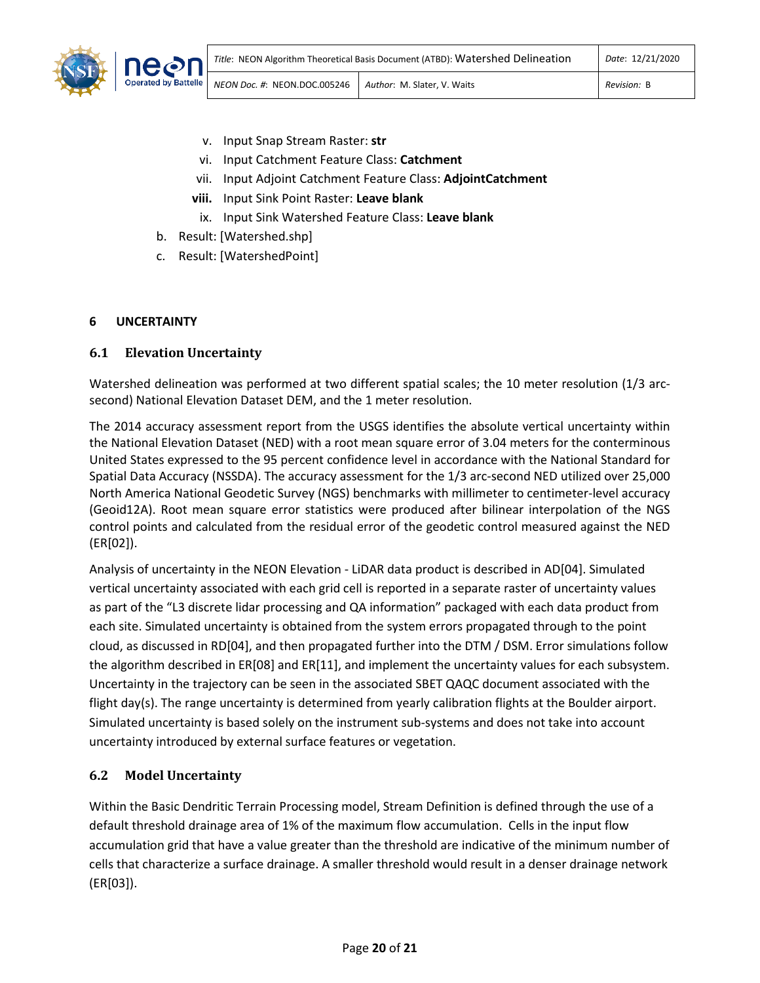

- v. Input Snap Stream Raster: **str**
- vi. Input Catchment Feature Class: **Catchment**
- vii. Input Adjoint Catchment Feature Class: **AdjointCatchment**
- **viii.** Input Sink Point Raster: **Leave blank**
	- ix. Input Sink Watershed Feature Class: **Leave blank**
- b. Result: [Watershed.shp]
- c. Result: [WatershedPoint]

## <span id="page-21-0"></span>**6 UNCERTAINTY**

## <span id="page-21-1"></span>**6.1 Elevation Uncertainty**

Watershed delineation was performed at two different spatial scales; the 10 meter resolution (1/3 arcsecond) National Elevation Dataset DEM, and the 1 meter resolution.

The 2014 accuracy assessment report from the USGS identifies the absolute vertical uncertainty within the National Elevation Dataset (NED) with a root mean square error of 3.04 meters for the conterminous United States expressed to the 95 percent confidence level in accordance with the National Standard for Spatial Data Accuracy (NSSDA). The accuracy assessment for the 1/3 arc-second NED utilized over 25,000 North America National Geodetic Survey (NGS) benchmarks with millimeter to centimeter-level accuracy (Geoid12A). Root mean square error statistics were produced after bilinear interpolation of the NGS control points and calculated from the residual error of the geodetic control measured against the NED (ER[02]).

Analysis of uncertainty in the NEON Elevation - LiDAR data product is described in AD[04]. Simulated vertical uncertainty associated with each grid cell is reported in a separate raster of uncertainty values as part of the "L3 discrete lidar processing and QA information" packaged with each data product from each site. Simulated uncertainty is obtained from the system errors propagated through to the point cloud, as discussed in RD[04], and then propagated further into the DTM / DSM. Error simulations follow the algorithm described in ER[08] and ER[11], and implement the uncertainty values for each subsystem. Uncertainty in the trajectory can be seen in the associated SBET QAQC document associated with the flight day(s). The range uncertainty is determined from yearly calibration flights at the Boulder airport. Simulated uncertainty is based solely on the instrument sub-systems and does not take into account uncertainty introduced by external surface features or vegetation.

## <span id="page-21-2"></span>**6.2 Model Uncertainty**

Within the Basic Dendritic Terrain Processing model, Stream Definition is defined through the use of a default threshold drainage area of 1% of the maximum flow accumulation. Cells in the input flow accumulation grid that have a value greater than the threshold are indicative of the minimum number of cells that characterize a surface drainage. A smaller threshold would result in a denser drainage network (ER[03]).